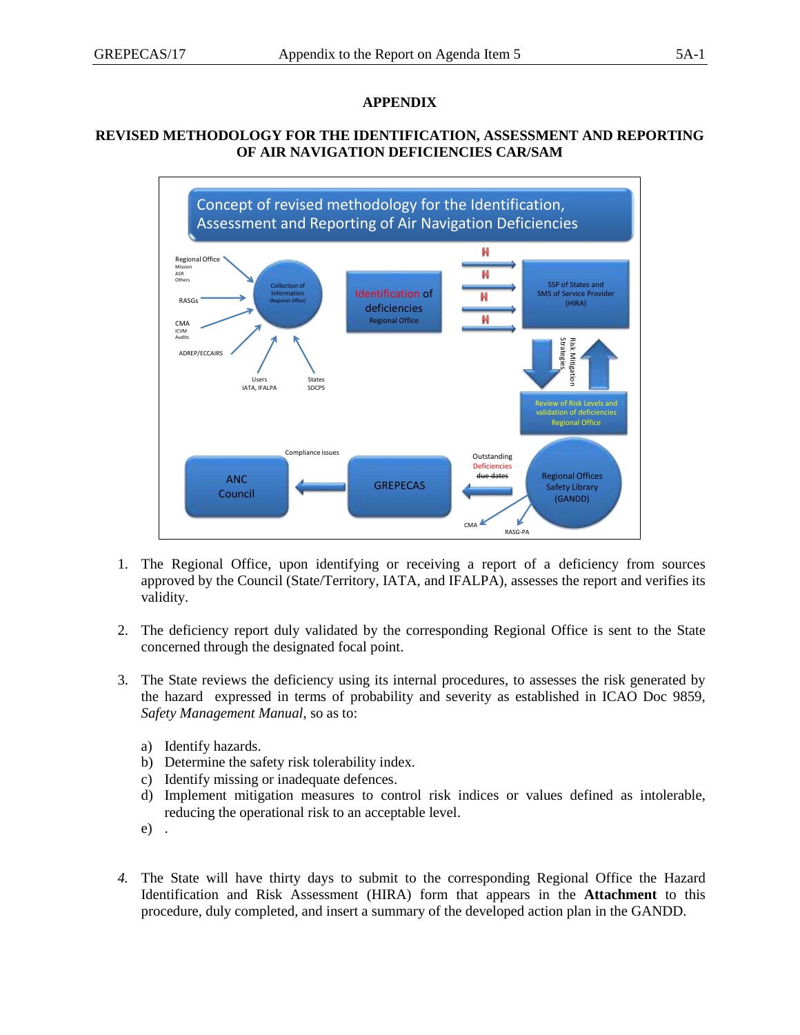## **APPENDIX**

## **REVISED METHODOLOGY FOR THE IDENTIFICATION, ASSESSMENT AND REPORTING OF AIR NAVIGATION DEFICIENCIES CAR/SAM**



- 1. The Regional Office, upon identifying or receiving a report of a deficiency from sources approved by the Council (State/Territory, IATA, and IFALPA), assesses the report and verifies its validity.
- 2. The deficiency report duly validated by the corresponding Regional Office is sent to the State concerned through the designated focal point.
- 3. The State reviews the deficiency using its internal procedures, to assesses the risk generated by the hazard expressed in terms of probability and severity as established in ICAO Doc 9859, *Safety Management Manual*, so as to:
	- a) Identify hazards.
	- b) Determine the safety risk tolerability index.
	- c) Identify missing or inadequate defences.
	- d) Implement mitigation measures to control risk indices or values defined as intolerable, reducing the operational risk to an acceptable level.
	- e) .
- *4.* The State will have thirty days to submit to the corresponding Regional Office the Hazard Identification and Risk Assessment (HIRA) form that appears in the **Attachment** to this procedure, duly completed, and insert a summary of the developed action plan in the GANDD.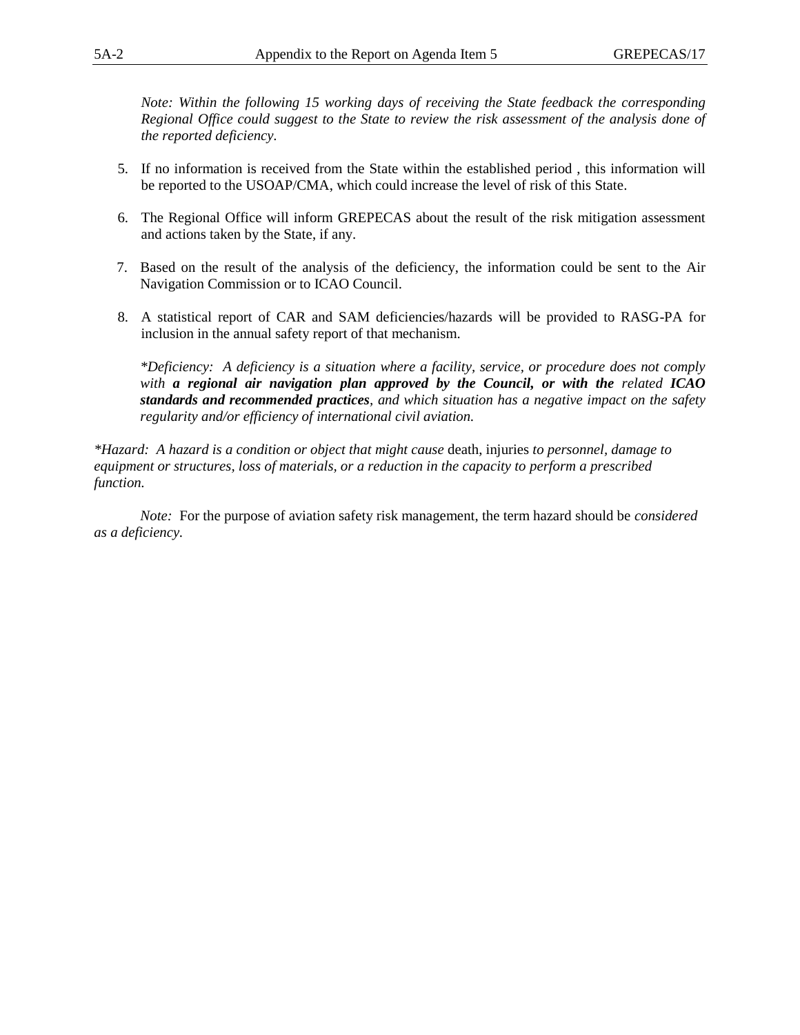*Note: Within the following 15 working days of receiving the State feedback the corresponding Regional Office could suggest to the State to review the risk assessment of the analysis done of the reported deficiency.*

- 5. If no information is received from the State within the established period , this information will be reported to the USOAP/CMA, which could increase the level of risk of this State.
- 6. The Regional Office will inform GREPECAS about the result of the risk mitigation assessment and actions taken by the State, if any.
- 7. Based on the result of the analysis of the deficiency, the information could be sent to the Air Navigation Commission or to ICAO Council.
- 8. A statistical report of CAR and SAM deficiencies/hazards will be provided to RASG-PA for inclusion in the annual safety report of that mechanism.

*\*Deficiency: A deficiency is a situation where a facility, service, or procedure does not comply with a regional air navigation plan approved by the Council, or with the related ICAO standards and recommended practices, and which situation has a negative impact on the safety regularity and/or efficiency of international civil aviation.*

*\*Hazard: A hazard is a condition or object that might cause* death, injuries *to personnel, damage to equipment or structures, loss of materials, or a reduction in the capacity to perform a prescribed function.*

*Note:* For the purpose of aviation safety risk management, the term hazard should be *considered as a deficiency.*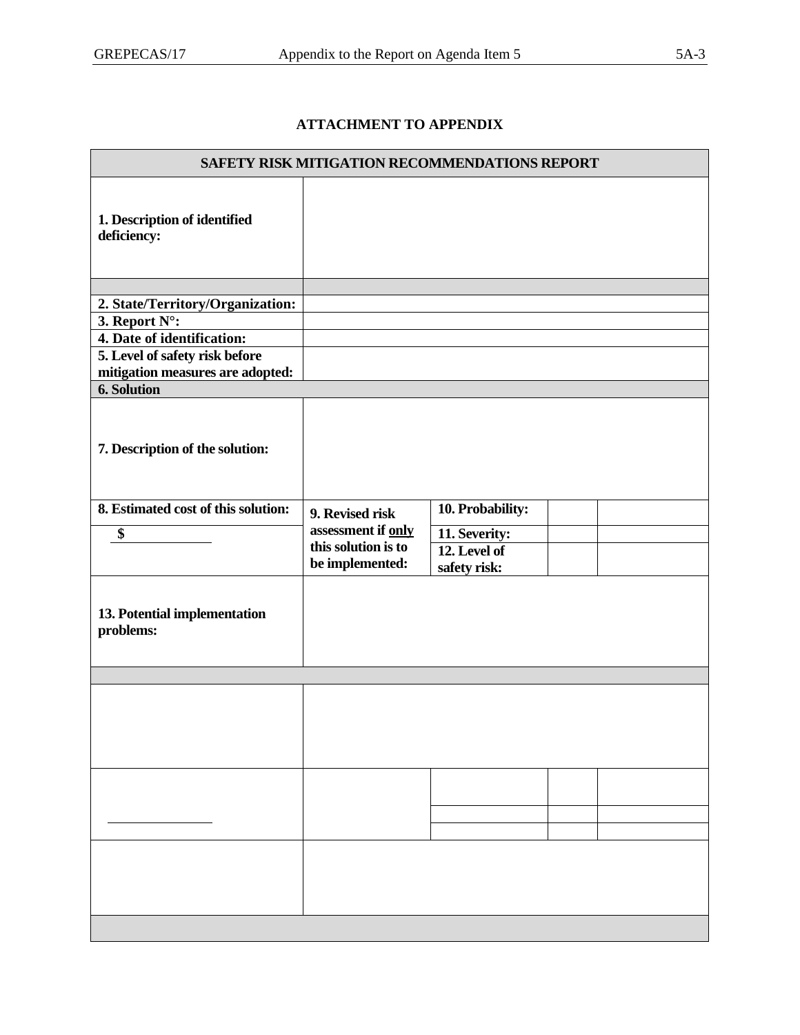## **ATTACHMENT TO APPENDIX**

| <b>SAFETY RISK MITIGATION RECOMMENDATIONS REPORT</b> |                     |                               |  |  |  |  |  |
|------------------------------------------------------|---------------------|-------------------------------|--|--|--|--|--|
| 1. Description of identified<br>deficiency:          |                     |                               |  |  |  |  |  |
|                                                      |                     |                               |  |  |  |  |  |
| 2. State/Territory/Organization:                     |                     |                               |  |  |  |  |  |
| 3. Report N°:                                        |                     |                               |  |  |  |  |  |
| 4. Date of identification:                           |                     |                               |  |  |  |  |  |
| 5. Level of safety risk before                       |                     |                               |  |  |  |  |  |
| mitigation measures are adopted:                     |                     |                               |  |  |  |  |  |
| <b>6. Solution</b>                                   |                     |                               |  |  |  |  |  |
| 7. Description of the solution:                      |                     |                               |  |  |  |  |  |
| 8. Estimated cost of this solution:                  | 9. Revised risk     | 10. Probability:              |  |  |  |  |  |
|                                                      | assessment if only  |                               |  |  |  |  |  |
| \$                                                   | this solution is to | 11. Severity:<br>12. Level of |  |  |  |  |  |
|                                                      | be implemented:     | safety risk:                  |  |  |  |  |  |
| 13. Potential implementation<br>problems:            |                     |                               |  |  |  |  |  |
|                                                      |                     |                               |  |  |  |  |  |
|                                                      |                     |                               |  |  |  |  |  |
|                                                      |                     |                               |  |  |  |  |  |
|                                                      |                     |                               |  |  |  |  |  |
|                                                      |                     |                               |  |  |  |  |  |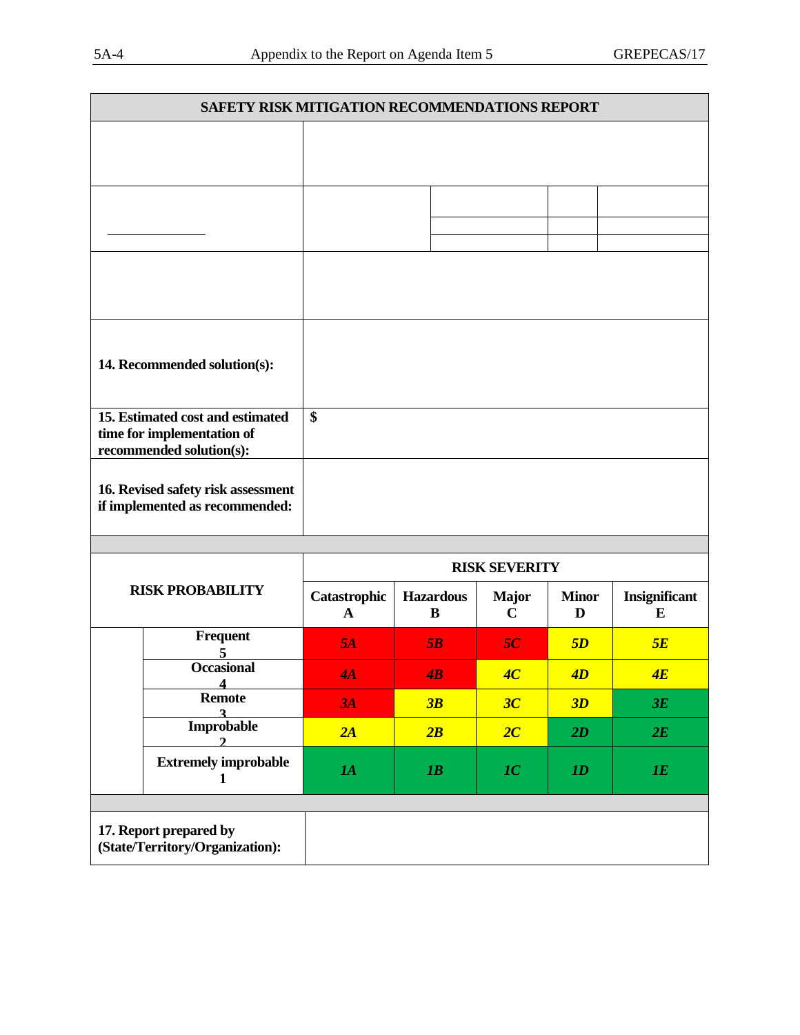| SAFETY RISK MITIGATION RECOMMENDATIONS REPORT                                              |                   |  |  |  |  |  |
|--------------------------------------------------------------------------------------------|-------------------|--|--|--|--|--|
|                                                                                            |                   |  |  |  |  |  |
|                                                                                            |                   |  |  |  |  |  |
|                                                                                            |                   |  |  |  |  |  |
| 14. Recommended solution(s):                                                               |                   |  |  |  |  |  |
| 15. Estimated cost and estimated<br>time for implementation of<br>recommended solution(s): | $\boldsymbol{\$}$ |  |  |  |  |  |
| 16. Revised safety risk assessment<br>if implemented as recommended:                       |                   |  |  |  |  |  |

| <b>RISK PROBABILITY</b> |                                                           | <b>RISK SEVERITY</b> |                       |              |                   |                           |
|-------------------------|-----------------------------------------------------------|----------------------|-----------------------|--------------|-------------------|---------------------------|
|                         |                                                           | Catastrophic<br>A    | <b>Hazardous</b><br>B | <b>Major</b> | <b>Minor</b><br>D | <b>Insignificant</b><br>E |
|                         | Frequent                                                  | 5A                   | 5B                    | 5C           | 5D                | 5E                        |
|                         | <b>Occasional</b>                                         | 4A                   | $\overline{AB}$       | 4C           | 4D                | 4E                        |
|                         | <b>Remote</b>                                             | 3A                   | 3B                    | 3C           | 3D                | 3E                        |
|                         | Improbable                                                | 2A                   | 2B                    | 2C           | 2D                | 2E                        |
|                         | <b>Extremely improbable</b>                               | 1A                   | IB                    | 1C           | ID                | 1E                        |
|                         |                                                           |                      |                       |              |                   |                           |
|                         | 17. Report prepared by<br>(State/Territory/Organization): |                      |                       |              |                   |                           |